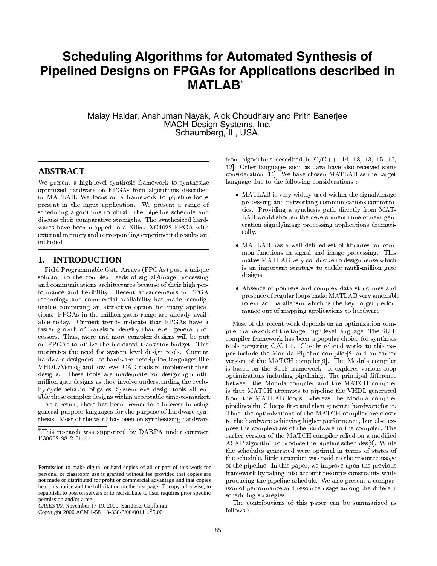# **Scheduling Algorithms for Automated Synthesis of Pipelined Designs on FPGAs for Applications described in MATLAB**

Malay Haldar, Anshuman Nayak, Alok Choudhary and Prith Banerjee MACH Design Systems, Inc. Schaumberg, IL, USA.

#### **ABSTRACT**

We present a high-level synthesis framework to synthesize optimized hardware on FPGAs from algorithms described in MATLAB. We focus on a framework to pipeline loops present in the input application. We present a range of scheduling algorithms to obtain the pipeline schedule and discuss their comparative strengths. The synthesized hard wares have been mapped to a Xilinx XC4028 FPGA with external memory and corresponding experimental results are included.

# **1. INTRODUCTION**

Field Programmable Gate Arrays (FPGAs) pose a unique solution to the complex needs of signal/image processing and communications architectures because of their high performance and flexibility. Recent advancements in FPGA technology and commercial availability has made recongurable computing an attractive option for many applications. FPGAs in the million gates range are already available today. Current trends indicate that FPGAs have a faster growth of transistor density than even general pro cessors. Thus, more and more complex designs will be put on FPGAs to utilize the increased transistor budget. This motivates the need for system level design tools. Current hardware designers use hardware description languages like VHDL/Verilog and low level CAD tools to implement their designs. These tools are inadequate for designing mutlimillion gate designs as they involve understanding the cycleby-cycle behavior of gates. System level design tools will enable these complex designs within acceptable time-to-market.

As a result, there has been tremendous interest in using general purpose languages for the purpose of hardware synthesis. Most of the work has been on synthesizing hardware from algorithms described in  $C/C++$  [14, 18, 13, 15, 17, 12]. Other languages such as Java have also received some consideration [16]. We have chosen MATLAB as the target language due to the following considerations :

- $\mathcal{M}$  is a very widely used with the signal/image  $\mathcal{M}$ processing and networking communications communities. Providing a synthesis path directly from MAT-LAB would shorten the development time of next generation signal/image processing applications dramatically.
- mon functions in signal and image processing. This makes MATLAB very conducive to design reuse which is an important strategy to tackle mutli-million gate designs.
- Absence of pointers and complex data structures and presence of regular loops make MATLAB very amenable to extract parallelism which is the key to get performance out of mapping applications to hardware.

Most of the recent work depends on an optimization compiler framework of the target high level language. The SUIF compiler framework has been a popular choice for synthesis tools targeting C/C++. Closely related works to this paper include the Modula Pipeline compiler[8] and an earlier version of the MATCH compiler[9]. The Modula compiler is based on the SUIF framework. It explores various loop optimizations including pipelining. The principal difference between the Modula compiler and the MATCH compiler is that MATCH attempts to pipeline the VHDL generated from the MATLAB loops, whereas the Modula compiler pipelines the C loops first and then generate hardware for it. Thus, the optimizations of the MATCH compiler are closer to the hardware achieving higher performance, but also expose the complexities of the hardware to the compiler. The earlier version of the MATCH compiler relied on a modified ASAP algorithm to produce the pipeline schedules[9]. While the schedules generated were optimal in terms of states of the schedule, little attention was paid to the resource usage of the pipeline. In this paper, we improve upon the previous framework by taking into account resource constraints while producing the pipeline schedule. We also present a comparison of performance and resource usage among the different scheduling strategies.

The contributions of this paper can be summarized as follows :

This research was supported by DARPA under contract F30602-98-2-0144.

Permission to make digital or hard copies of all or part of this work for personal or classroom use is granted without fee provided that copies are not made or distributed for profit or commercial advantage and that copies bear this notice and the full citation on the first page. To copy otherwise, to republish, to post on servers or to redistribute to lists, requires prior specific permission and/or a fee.

*CASES'00,* November 17-19, 2000, San Jose, California.

Copyright 2000 ACM 1-58113-338-3/00/0011 ..\$5.00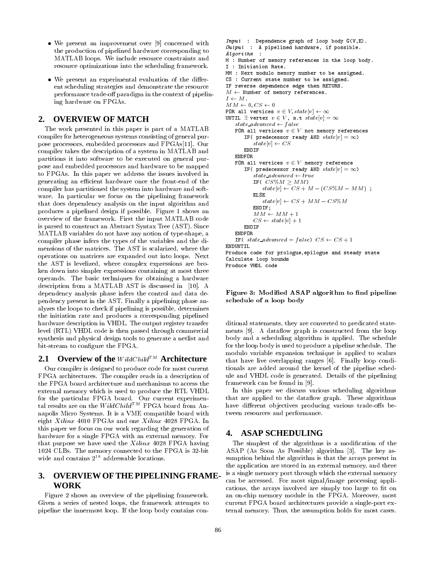- we present an improvement over [9] concerned with  $\sim$ the production of pipelined hardware corresponding to  $\frac{bathpart}{a\log int}\$ MATLAB loops. We include resource constraints and resource optimizations into the scheduling framework.
- We present an experimental evaluation of the dier ent scheduling strategies and demonstrate the resource performance trade-off paradigm in the context of pipelining hardware on FPGAs.

## **2. OVERVIEW OF MATCH**

The work presented in this paper is part of a MATLAB compiler for heterogeneous systems consisting of general purpose processors, embedded processors and FPGAs[11]. Our compiler takes the description of a system in MATLAB and partitions it into software to be executed on general purpose and embedded processors and hardware to be mapped to FPGAs. In this paper we address the issues involved in generating an efficient hardware once the front-end of the compiler has partitioned the system into hardware and soft ware. In particular we focus on the pipelining framework that does dependency analysis on the input algorithm and produces a pipelined design if possible. Figure 1 shows an overview of the framework. First the input MATLAB code is parsed to construct an Abstract Syntax Tree (AST). Since MATLAB variables do not have any notion of type-shape, a compiler phase infers the types of the variables and the dimensions of the matrices. The AST is scalarized, where the operations on matrices are expanded out into loops. Next the AST is levelized, where complex expressions are broken down into simpler expressions containing at most three operands. The basic techniques for obtaining a hardware description from a MATLAB AST is discussed in [10]. A dependency analysis phase infers the control and data dependency present in the AST. Finally a pipelining phase analyzes the loops to check if pipelining is possible, determines the initiation rate and produces a corresponding pipelined hardware description in VHDL. The output register transfer level (RTL) VHDL code is then passed through commercial synthesis and physical design tools to generate a netlist and bit-stream to configure the FPGA.

# **2.1 Overview of the** WildChild<sup>TM</sup> **Architecture**

Our compiler is designed to produce code for most current FPGA architectures. The compiler reads in a description of the FPGA board architecture and mechanisms to access the external memory which is used to produce the RTL VHDL for the particular FPGA board. Our current experimental results are on the  $WildChild^{TM}$  FPGA board from Annapolis Micro Systems. It is a VME compatible board with eight Xilinx 4010 FPGAs and one Xilinx 4028 FPGA. In this paper we focus on our work regarding the generation of hardware for a single FPGA with an external memory. For that purpose we have used the  $X ilinx$  4028 FPGA having 1024 CLBs. The memory connected to the FPGA is 32-bit wide and contains  $2^{18}$  addressable locations.

# **3. OVERVIEW OF THE PIPELINING FRAME-WORK**

Figure 2 shows an overview of the pipelining framework. Given a series of nested loops, the framework attempts to pipeline the innermost loop. If the loop body contains con-

```
Input: Dependence graph of loop body G(V, E).
Output : A pipelined hardware, if possible.
Algorithm :
M : Number of memory references in the loop body.
I : Initiation Rate.
MM : Next modulo memory number to be assigned.
CS : Current state number to be assigned.
IF reverse dependence edge then RETURN.
M \leftarrow Number of memory references.
I \leftarrow M.
MM \leftarrow 0, CS \leftarrow 0FOR all vertices v \in V, state[v] \leftarrow \inftyUNTIL \exists vertex v \in V, s.t state[v] = \inftystate_advanced \leftarrow false
   FOR all vertices v \in V not memory references
       IF( predecessor ready AND state[v] = \infty)
          state[v] \leftarrow CSENDIF
   ENDFOR
   FOR all vertices v \in V memory reference
       IF( predecessor ready AND state[v] = \infty)
          state\_advanced \leftarrow trueIF( CS\%M \ge MM)
              state[v] \leftarrow CS + M - (CS\%M - MM);
          ELSE
              state[v] \leftarrow CS + MM - CS\%MENDIF;
          MM \leftarrow MM + 1CS \leftarrow state[v]+1ENDIF
   ENDFOR
   IF( state_advanced = false) CS \leftarrow CS + 1Produce code for prologue,epilogue and steady state
Calculate loop bounds
Produce VHDL code
```
#### Figure 3: Modified ASAP algorithm to find pipeline schedule of a loop body

ditional statements, they are converted to predicated state ments [9]. A dataflow graph is constructed from the loop body and a scheduling algorithm is applied. The schedule for the loop body is used to produce a pipeline schedule. The modulo variable expansion technique is applied to scalars that have live overlapping ranges [6]. Finally loop conditionals are added around the kernel of the pipeline schedule and VHDL code is generated. Details of the pipelining framework can be found in [9].

In this paper we discuss various scheduling algorithms that are applied to the dataflow graph. These algorithms have different objectives producing various trade-offs between resources and performance.

## **4. ASAP SCHEDULING**

The simplest of the algorithms is a modification of the ASAP (As Soon As Possible) algorithm [3]. The key as sumption behind the algorithm is that the arrays present in the application are stored in an external memory, and there is a single memory port through which the external memory can be accessed. For most signal/image processing applications, the arrays involved are simply too large to fit on an on-chip memory module in the FPGA. Moreover, most current FPGA board architectures provide a single-port external memory. Thus, the assumption holds for most cases.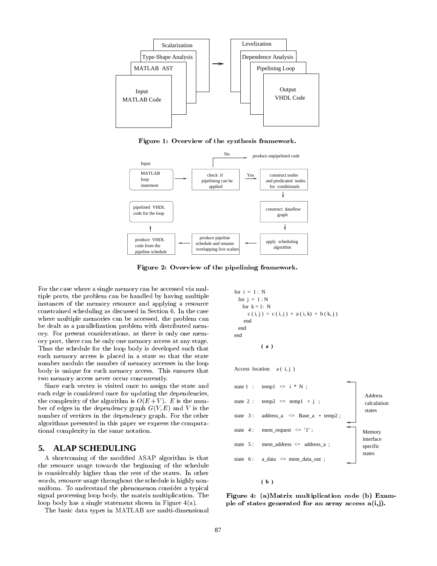

Figure 1: Overview of the synthesis framework.



Figure 2: Overview of the pipelining framework.

For the case where a single memory can be accessed via multiple ports, the problem can be handled by having multiple instances of the memory resource and applying a resource constrained scheduling as discussed in Section 6. In the case where multiple memories can be accessed, the problem can be dealt as a parallelization problem with distributed memory. For present considerations, as there is only one memory port, there can be only one memory access at any stage. Thus the schedule for the loop body is developed such that each memory access is placed in a state so that the state number modulo the number of memory accesses in the loop body is unique for each memory access. This ensures that two memory access never occur concurrently.

Since each vertex is visited once to assign the state and each edge is considered once for updating the dependencies, the complexity of the algorithm is  $O(E+V)$ . E is the number of edges in the dependency graph  $G(V, E)$  and V is the number of vertices in the dependency graph. For the other algorithms presented in this paper we express the computational complexity in the same notation.

#### **5. ALAP SCHEDULING**

A shortcoming of the modied ASAP algorithm is that the resource usage towards the beginning of the schedule is considerably higher than the rest of the states. In other words, resource usage throughout the schedule is highly nonuniform. To understand the phenomenon consider a typical signal processing loop body, the matrix multiplication. The loop body has a single statement shown in Figure 4(a).

The basic data types in MATLAB are multi-dimensional

for i = 1 : N for j = 1 : N for k = 1: N c ( i, j ) = c ( i, j ) + a ( i, k) + b ( k, j ) end end end **( a )**

Access location a ( i, j )



**( b )**

Figure 4: (a)Matrix multiplication code (b) Example of states generated for an array access a(i,j).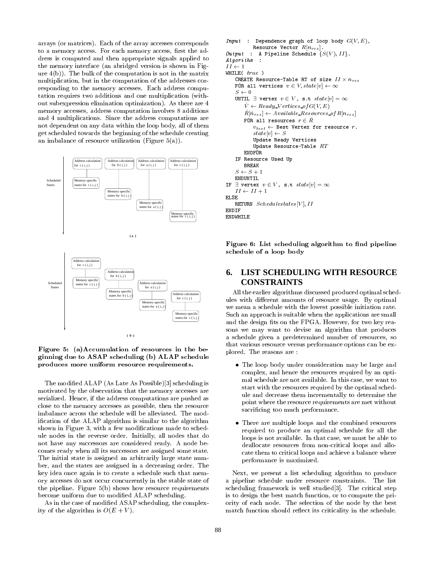arrays (or matrices). Each of the array accesses corresponds to a memory access. For each memory access, first the address is computed and then appropriate signals applied to the memory interface (an abridged version is shown in Figure  $4(b)$ ). The bulk of the computation is not in the matrix multiplication, but in the computation of the addresses corresponding to the memory accesses. Each address computation requires two additions and one multiplication (without subexpression elimination optimization). As there are 4 memory accesses, address computation involves 8 additions and 4 multiplications. Since the address computations are not dependent on any data within the loop body, all of them get scheduled towards the beginning of the schedule creating an imbalance of resource utilization (Figure  $5(a)$ ).





Figure 5: (a)Accumulation of resources in the beginning due to ASAP scheduling (b) ALAP schedule produces more uniform resource requirements.

The modied ALAP (As Late As Possible)[3] scheduling is motivated by the observation that the memory accesses are serialized. Hence, if the address computations are pushed as close to the memory accesses as possible, then the resource imbalance across the schedule will be alleviated. The modication of the ALAP algorithm is similar to the algorithm shown in Figure 3, with a few modifications made to schedule nodes in the reverse order. Initially, all nodes that do not have any successors are considered ready. A node becomes ready when all its successors are assigned some state. The initial state is assigned an arbitrarily large state num ber, and the states are assigned in a decreasing order. The key idea once again is to create a schedule such that memory accesses do not occur concurrently in the stable state of the pipeline. Figure 5(b) shows how resource requirements become uniform due to modied ALAP scheduling.

As in the case of modied ASAP scheduling, the complexity of the algorithm is  $O(E + V)$ .

```
Input : Dependence graph of loop body G(V, E),
           Resource Vector R[n_{res}]Output : A Pipeline Schedule \{S(V), II\}.Algorithm :
              \ddot{\phantom{a}}II \leftarrow 1WHILE( true)
    CREATE Resource-Table RT of size II \times n_{res}FOR all vertices v \in V, state[v] \leftarrow \inftyS \leftarrow 0UNTIL \exists vertex v \in V, s.t state[v] = \infty\acute{V} \leftarrow Ready Vertices of G(V, E)R[\hat{n}_{res}] \leftarrow Available\_Resource\_ofR[n_{res}]FOR all resources r \in \hat{R}v_{best} \leftarrow Best Vertex for resource r.
            state[v] \leftarrow SUpdate Ready Vertices
           Update Resource-Table RT
       ENDFOR
    IF Resource Used Up
    IF Resource Used Up
       BREAK
    S \leftarrow S + 1ENDUNTIL
IF \exists vertex v \in V, s.t state[v] = \inftyII \leftarrow II + 1ELSE
   RETURN Schedules tates[V], IIENDIF
ENDWHILE
```
Figure 6: List scheduling algorithm to find pipeline schedule of a loop body

# **6. LIST SCHEDULING WITH RESOURCE CONSTRAINTS**

All the earlier algorithms discussed produced optimal schedules with different amounts of resource usage. By optimal we mean a schedule with the lowest possible initiation rate. Such an approach is suitable when the applications are small and the design fits on the FPGA. However, for two key reasons we may want to devise an algorithm that produces a schedule given a predetermined number of resources, so that various resource versus performance options can be explored. The reasons are :

- The loop body under consideration may be large and complex, and hence the resources required by an optimal schedule are not available. In this case, we want to start with the resources required by the optimal schedule and decrease them incrementally to determine the point where the resource requirements are met without sacrificing too much performance.
- There are multiple loops and the combined resources required to produce an optimal schedule for all the loops is not available. In that case, we must be able to deallocate resources from non-critical loops and allocate them to critical loops and achieve a balance where performance is maximized.

Next, we present a list scheduling algorithm to produce a pipeline schedule under resource constraints. The list scheduling framework is well studied[3]. The critical step is to design the best match function, or to compute the priority of each node. The selection of the node by the best match function should reflect its criticality in the schedule.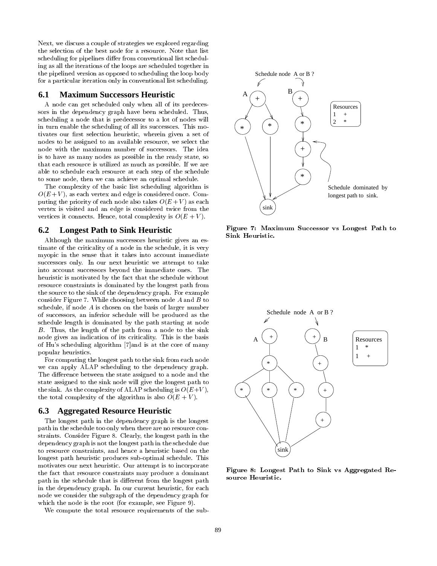Next, we discuss a couple of strategies we explored regarding the selection of the best node for a resource. Note that list scheduling for pipelines differ from conventional list scheduling as all the iterations of the loops are scheduled together in the pipelined version as opposed to scheduling the loop body for a particular iteration only in conventional list scheduling.

#### **6.1 Maximum Successors Heuristic**

A node can get scheduled only when all of its predecessors in the dependency graph have been scheduled. Thus, scheduling a node that is predecessor to a lot of nodes will in turn enable the scheduling of all its successors. This motivates our first selection heuristic, wherein given a set of nodes to be assigned to an available resource, we select the node with the maximum number of successors. The idea is to have as many nodes as possible in the ready state, so that each resource is utilized as much as possible. If we are able to schedule each resource at each step of the schedule to some node, then we can achieve an optimal schedule.

The complexity of the basic list scheduling algorithm is  $O(E+V)$ , as each vertex and edge is considered once. Computing the priority of each node also takes  $O(E+V)$  as each vertex is visited and an edge is considered twice from the vertices it connects. Hence, total complexity is  $O(E + V)$ .

#### **6.2 Longest Path to Sink Heuristic**

Although the maximum successors heuristic gives an es timate of the criticality of a node in the schedule, it is very myopic in the sense that it takes into account immediate successors only. In our next heuristic we attempt to take into account successors beyond the immediate ones. The heuristic is motivated by the fact that the schedule without resource constraints is dominated by the longest path from the source to the sink of the dependency graph. For example consider Figure 7. While choosing between node A and B to schedule, if node A is chosen on the basis of larger number of successors, an inferior schedule will be produced as the schedule length is dominated by the path starting at node B. Thus, the length of the path from a node to the sink node gives an indication of its criticality. This is the basis of Hu's scheduling algorithm [7]and is at the core of many popular heuristics.

For computing the longest path to the sink from each node we can apply ALAP scheduling to the dependency graph. The difference between the state assigned to a node and the state assigned to the sink node will give the longest path to the sink. As the complexity of ALAP scheduling is  $O(E+V)$ , the total complexity of the algorithm is also  $O(E + V)$ .

#### **6.3 Aggregated Resource Heuristic**

The longest path in the dependency graph is the longest path in the schedule too only when there are no resource constraints. Consider Figure 8. Clearly, the longest path in the dependency graph is not the longest path in the schedule due to resource constraints, and hence a heuristic based on the longest path heuristic produces sub-optimal schedule. This motivates our next heuristic. Our attempt is to incorporate the fact that resource constraints may produce a dominant<br>source Heuristic. path in the schedule that is different from the longest path in the dependency graph. In our current heuristic, for each node we consider the subgraph of the dependency graph for which the node is the root (for example, see Figure 9).

We compute the total resource requirements of the sub-



Figure 7: Maximum Successor vs Longest Path to Sink Heuristic.



Figure 8: Longest Path to Sink vs Aggregated Re-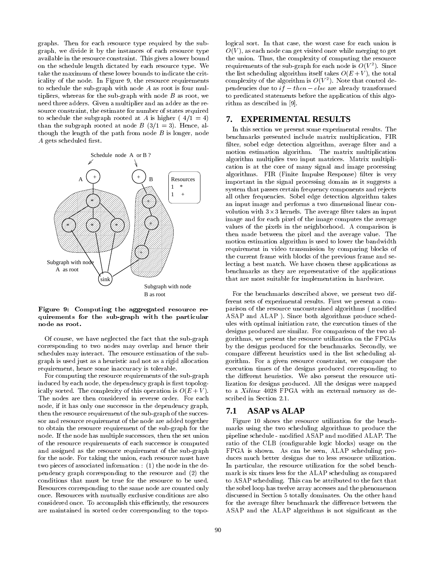graphs. Then for each resource type required by the subgraph, we divide it by the instances of each resource type available in the resource constraint. This gives a lower bound on the schedule length dictated by each resource type. We take the maximum of these lower bounds to indicate the criticality of the node. In Figure 9, the resource requirements to schedule the sub-graph with node A as root is four multipliers, whereas for the sub-graph with node  $B$  as root, we need three adders. Given a multiplier and an adder as the resource constraint, the estimate for number of states required to schedule the subgraph rooted at A is higher ( $4/1 = 4$ ) 7. than the subgraph rooted at node  $B(3/1 = 3)$ . Hence, although the length of the path from node  $B$  is longer, node  $A$  gets scheduled first.



Figure 9: Computing the aggregated resource re quirements for the sub-graph with the particular node as root.

Of course, we have neglected the fact that the sub-graph corresponding to two nodes may overlap and hence their schedules may interact. The resource estimation of the subgraph is used just as a heuristic and not as a rigid allocation requirement, hence some inaccuracy is tolerable.

For computing the resource requirements of the sub-graph induced by each node, the dependency graph is first topologically sorted. The complexity of this operation is  $O(E+V)$ . The nodes are then considered in reverse order. For each node, if it has only one successor in the dependency graph, then the resource requirement of the sub-graph of the successor and resource requirement of the node are added together to obtain the resource requirement of the sub-graph for the node. If the node has multiple successors, then the set union of the resource requirements of each successor is computed and assigned as the resource requirement of the sub-graph for the node. For taking the union, each resource must have two pieces of associated information : (1) the node in the dependency graph corresponding to the resource and (2) the conditions that must be true for the resource to be used. Resources corresponding to the same node are counted only once. Resources with mutually exclusive conditions are also considered once. To accomplish this efficiently, the resources are maintained in sorted order corresponding to the topological sort. In that case, the worst case for each union is  $O(V)$ , as each node can get visited once while merging to get the union. Thus, the complexity of computing the resource requirements of the sub-graph for each node is  $O(V^-)$ . Since the list scheduling algorithm itself takes  $O(E+V)$ , the total complexity of the algorithm is  $O(V^-)$ . Note that control dependencies due to  $if - then - else$  are already transformed to predicated statements before the application of this algorithm as described in [9].

## **7. EXPERIMENTAL RESULTS**

In this section we present some experimental results. The benchmarks presented include matrix multiplication, FIR filter, sobel edge detection algorithm, average filter and a motion estimation algorithm. The matrix multiplication algorithm multiplies two input matrices. Matrix multiplication is at the core of many signal and image processing algorithms. FIR (Finite Impulse Response) filter is very important in the signal processing domain as it suggests a system that passes certain frequency components and rejects all other frequencies. Sobel edge detection algorithm takes an input image and performs a two dimensional linear con volution with 3-volution with 3-volution and input and input and input and input and input and input and input image and for each pixel of the image computes the average values of the pixels in the neighborhood. A comparison is then made between the pixel and the average value. The motion estimation algorithm is used to lower the bandwidth requirement in video transmission by comparing blocks of the current frame with blocks of the previous frame and selecting a best match. We have chosen these applications as benchmarks as they are representative of the applications that are most suitable for implementation in hardware.

For the benchmarks described above, we present two different sets of experimental results. First we present a comparison of the resource unconstrained algorithms ( modied ASAP and ALAP ). Since both algorithms produce schedules with optimal initiation rate, the execution times of the designs produced are similar. For comparison of the two algorithms, we present the resource utilization on the FPGAs by the designs produced for the benchmarks. Secondly, we compare different heuristics used in the list scheduling algorithm. For a given resource constraint, we compare the execution times of the designs produced corresponding to the different heuristics. We also present the resource utilization for designs produced. All the designs were mapped to a *Xilinx* 4028 FPGA with an external memory as described in Section 2.1.

## **7.1 ASAP vs ALAP**

Figure 10 shows the resource utilization for the benchmarks using the two scheduling algorithms to produce the pipeline schedule - modied ASAP and modied ALAP. The ratio of the CLB (configurable logic blocks) usage on the FPGA is shown. As can be seen, ALAP scheduling produces much better designs due to less resource utilization. In particular, the resource utilization for the sobel benchmark is six times less for the ALAP scheduling as compared to ASAP scheduling. This can be attributed to the fact that the sobel loop has twelve array accesses and the phenomenon discussed in Section 5 totally dominates. On the other hand for the average filter benchmark the difference between the ASAP and the ALAP algorithms is not signicant as the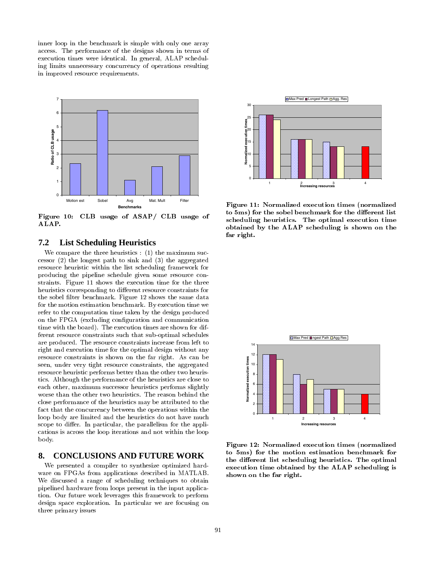inner loop in the benchmark is simple with only one array access. The performance of the designs shown in terms of execution times were identical. In general, ALAP scheduling limits unnecessary concurrency of operations resulting in improved resource requirements.



Figure 10: CLB usage of ASAP/ CLB usage of ALAP.

## **7.2 List Scheduling Heuristics**

We compare the three heuristics : (1) the maximum suc cessor (2) the longest path to sink and (3) the aggregated resource heuristic within the list scheduling framework for producing the pipeline schedule given some resource con straints. Figure 11 shows the execution time for the three heuristics corresponding to different resource constraints for the sobel filter benchmark. Figure 12 shows the same data for the motion estimation benchmark. By execution time we refer to the computation time taken by the design produced on the FPGA (excluding configuration and communication time with the board). The execution times are shown for different resource constraints such that sub-optimal schedules are produced. The resource constraints increase from left to right and execution time for the optimal design without any resource constraints is shown on the far right. As can be seen, under very tight resource constraints, the aggregated resource heuristic performs better than the other two heuristics. Although the performance of the heuristics are close to each other, maximum successor heuristics performs slightly worse than the other two heuristics. The reason behind the close performance of the heuristics may be attributed to the fact that the concurrency between the operations within the loop body are limited and the heuristics do not have much scope to differ. In particular, the parallelism for the applications is across the loop iterations and not within the loop body.

# **8. CONCLUSIONS AND FUTURE WORK**

We presented a compiler to synthesize optimized hard ware on FPGAs from applications described in MATLAB. We discussed a range of scheduling techniques to obtain pipelined hardware from loops present in the input application. Our future work leverages this framework to perform design space exploration. In particular we are focusing on three primary issues



Figure 11: Normalized execution times (normalized to 5ms) for the sobel benchmark for the different list scheduling heuristics. The optimal execution time obtained by the ALAP scheduling is shown on the far right.



Figure 12: Normalized execution times (normalized to 5ms) for the motion estimation benchmark for the different list scheduling heuristics. The optimal execution time obtained by the ALAP scheduling is shown on the far right.